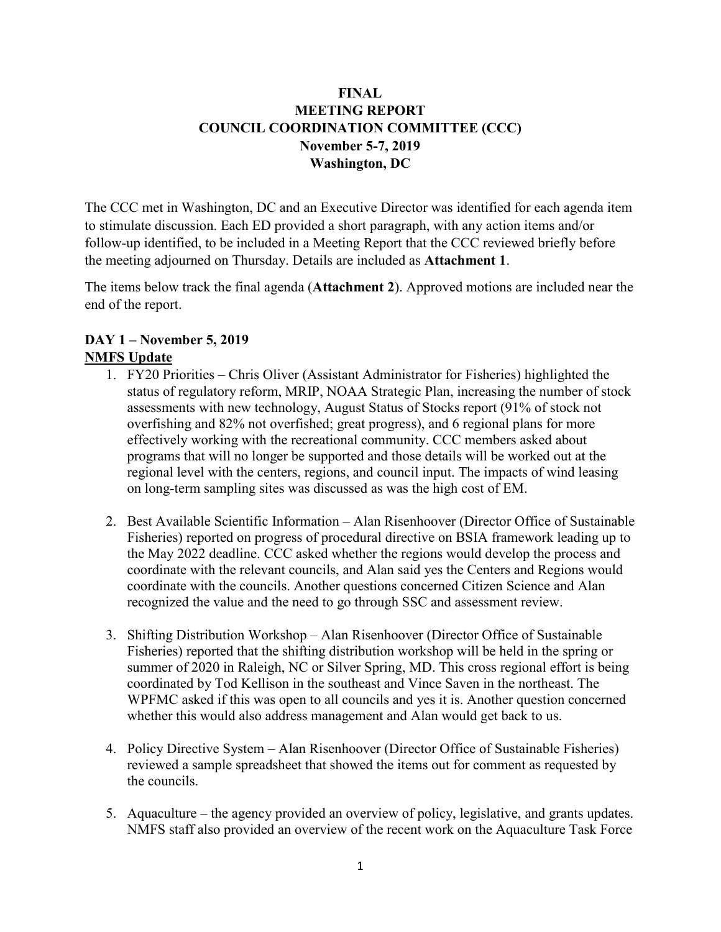#### **FINAL MEETING REPORT COUNCIL COORDINATION COMMITTEE (CCC) November 5-7, 2019 Washington, DC**

The CCC met in Washington, DC and an Executive Director was identified for each agenda item to stimulate discussion. Each ED provided a short paragraph, with any action items and/or follow-up identified, to be included in a Meeting Report that the CCC reviewed briefly before the meeting adjourned on Thursday. Details are included as **Attachment 1**.

The items below track the final agenda (**Attachment 2**). Approved motions are included near the end of the report.

#### **DAY 1 – November 5, 2019 NMFS Update**

- 1. FY20 Priorities Chris Oliver (Assistant Administrator for Fisheries) highlighted the status of regulatory reform, MRIP, NOAA Strategic Plan, increasing the number of stock assessments with new technology, August Status of Stocks report (91% of stock not overfishing and 82% not overfished; great progress), and 6 regional plans for more effectively working with the recreational community. CCC members asked about programs that will no longer be supported and those details will be worked out at the regional level with the centers, regions, and council input. The impacts of wind leasing on long-term sampling sites was discussed as was the high cost of EM.
- 2. Best Available Scientific Information Alan Risenhoover (Director Office of Sustainable Fisheries) reported on progress of procedural directive on BSIA framework leading up to the May 2022 deadline. CCC asked whether the regions would develop the process and coordinate with the relevant councils, and Alan said yes the Centers and Regions would coordinate with the councils. Another questions concerned Citizen Science and Alan recognized the value and the need to go through SSC and assessment review.
- 3. Shifting Distribution Workshop Alan Risenhoover (Director Office of Sustainable Fisheries) reported that the shifting distribution workshop will be held in the spring or summer of 2020 in Raleigh, NC or Silver Spring, MD. This cross regional effort is being coordinated by Tod Kellison in the southeast and Vince Saven in the northeast. The WPFMC asked if this was open to all councils and yes it is. Another question concerned whether this would also address management and Alan would get back to us.
- 4. Policy Directive System Alan Risenhoover (Director Office of Sustainable Fisheries) reviewed a sample spreadsheet that showed the items out for comment as requested by the councils.
- 5. Aquaculture the agency provided an overview of policy, legislative, and grants updates. NMFS staff also provided an overview of the recent work on the Aquaculture Task Force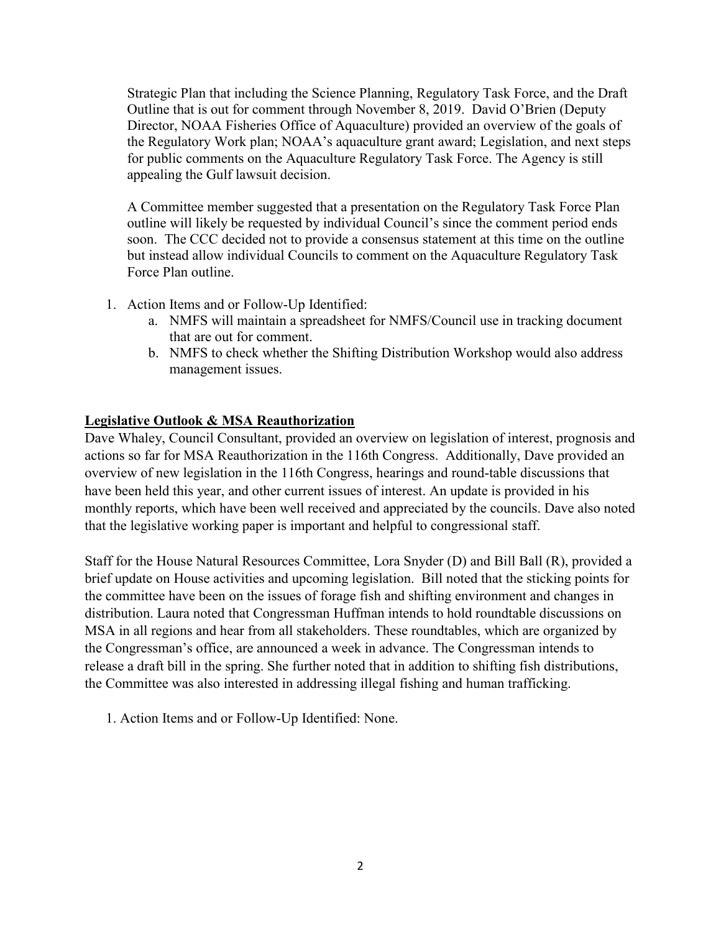Strategic Plan that including the Science Planning, Regulatory Task Force, and the Draft Outline that is out for comment through November 8, 2019. David O'Brien (Deputy Director, NOAA Fisheries Office of Aquaculture) provided an overview of the goals of the Regulatory Work plan; NOAA's aquaculture grant award; Legislation, and next steps for public comments on the Aquaculture Regulatory Task Force. The Agency is still appealing the Gulf lawsuit decision.

A Committee member suggested that a presentation on the Regulatory Task Force Plan outline will likely be requested by individual Council's since the comment period ends soon. The CCC decided not to provide a consensus statement at this time on the outline but instead allow individual Councils to comment on the Aquaculture Regulatory Task Force Plan outline.

- 1. Action Items and or Follow-Up Identified:
	- a. NMFS will maintain a spreadsheet for NMFS/Council use in tracking document that are out for comment.
	- b. NMFS to check whether the Shifting Distribution Workshop would also address management issues.

#### **Legislative Outlook & MSA Reauthorization**

Dave Whaley, Council Consultant, provided an overview on legislation of interest, prognosis and actions so far for MSA Reauthorization in the 116th Congress. Additionally, Dave provided an overview of new legislation in the 116th Congress, hearings and round-table discussions that have been held this year, and other current issues of interest. An update is provided in his monthly reports, which have been well received and appreciated by the councils. Dave also noted that the legislative working paper is important and helpful to congressional staff.

Staff for the House Natural Resources Committee, Lora Snyder (D) and Bill Ball (R), provided a brief update on House activities and upcoming legislation. Bill noted that the sticking points for the committee have been on the issues of forage fish and shifting environment and changes in distribution. Laura noted that Congressman Huffman intends to hold roundtable discussions on MSA in all regions and hear from all stakeholders. These roundtables, which are organized by the Congressman's office, are announced a week in advance. The Congressman intends to release a draft bill in the spring. She further noted that in addition to shifting fish distributions, the Committee was also interested in addressing illegal fishing and human trafficking.

1. Action Items and or Follow-Up Identified: None.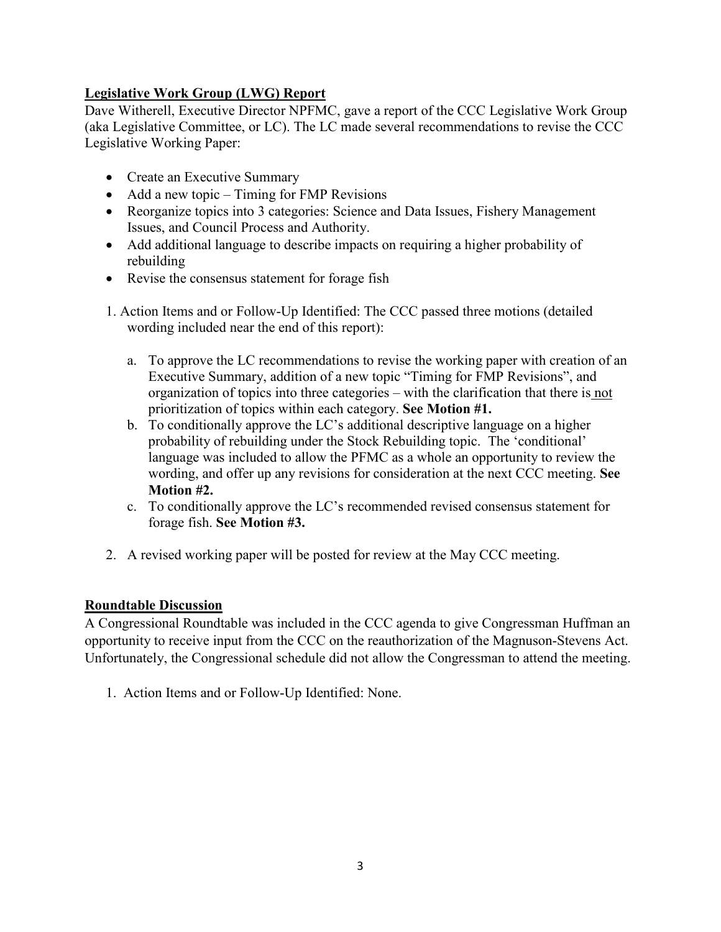# **Legislative Work Group (LWG) Report**

Dave Witherell, Executive Director NPFMC, gave a report of the CCC Legislative Work Group (aka Legislative Committee, or LC). The LC made several recommendations to revise the CCC Legislative Working Paper:

- Create an Executive Summary
- Add a new topic Timing for FMP Revisions
- Reorganize topics into 3 categories: Science and Data Issues, Fishery Management Issues, and Council Process and Authority.
- Add additional language to describe impacts on requiring a higher probability of rebuilding
- Revise the consensus statement for forage fish
- 1. Action Items and or Follow-Up Identified: The CCC passed three motions (detailed wording included near the end of this report):
	- a. To approve the LC recommendations to revise the working paper with creation of an Executive Summary, addition of a new topic "Timing for FMP Revisions", and organization of topics into three categories – with the clarification that there is not prioritization of topics within each category. **See Motion #1.**
	- b. To conditionally approve the LC's additional descriptive language on a higher probability of rebuilding under the Stock Rebuilding topic. The 'conditional' language was included to allow the PFMC as a whole an opportunity to review the wording, and offer up any revisions for consideration at the next CCC meeting. **See Motion #2.**
	- c. To conditionally approve the LC's recommended revised consensus statement for forage fish. **See Motion #3.**
- 2. A revised working paper will be posted for review at the May CCC meeting.

#### **Roundtable Discussion**

A Congressional Roundtable was included in the CCC agenda to give Congressman Huffman an opportunity to receive input from the CCC on the reauthorization of the Magnuson-Stevens Act. Unfortunately, the Congressional schedule did not allow the Congressman to attend the meeting.

1. Action Items and or Follow-Up Identified: None.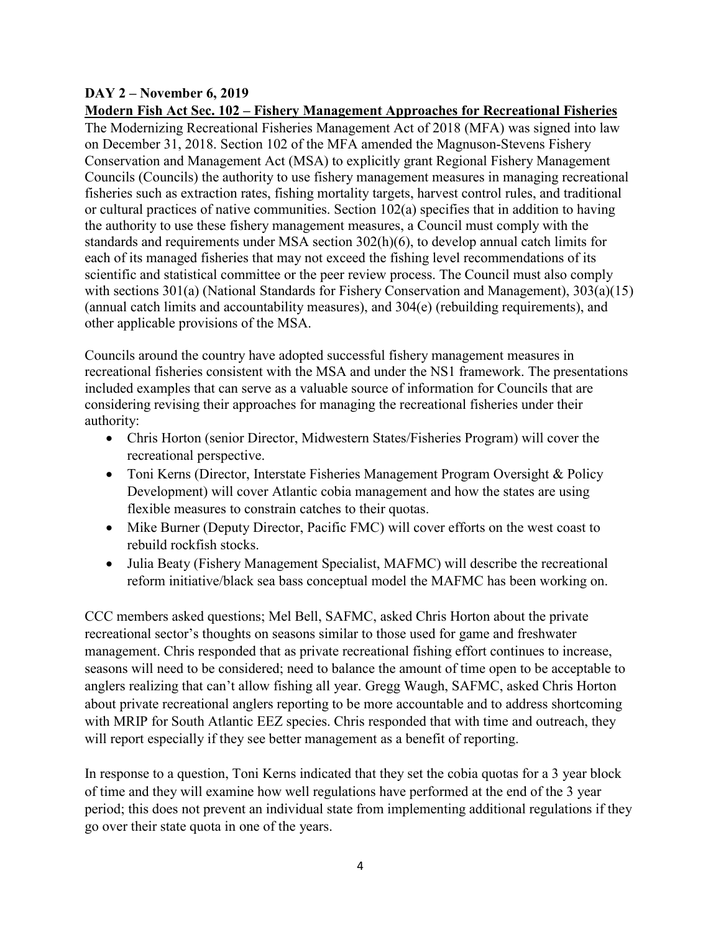#### **DAY 2 – November 6, 2019 Modern Fish Act Sec. 102 – Fishery Management Approaches for Recreational Fisheries**

The Modernizing Recreational Fisheries Management Act of 2018 (MFA) was signed into law on December 31, 2018. Section 102 of the MFA amended the Magnuson-Stevens Fishery Conservation and Management Act (MSA) to explicitly grant Regional Fishery Management Councils (Councils) the authority to use fishery management measures in managing recreational fisheries such as extraction rates, fishing mortality targets, harvest control rules, and traditional or cultural practices of native communities. Section 102(a) specifies that in addition to having the authority to use these fishery management measures, a Council must comply with the standards and requirements under MSA section 302(h)(6), to develop annual catch limits for each of its managed fisheries that may not exceed the fishing level recommendations of its scientific and statistical committee or the peer review process. The Council must also comply with sections 301(a) (National Standards for Fishery Conservation and Management), 303(a)(15) (annual catch limits and accountability measures), and 304(e) (rebuilding requirements), and other applicable provisions of the MSA.

Councils around the country have adopted successful fishery management measures in recreational fisheries consistent with the MSA and under the NS1 framework. The presentations included examples that can serve as a valuable source of information for Councils that are considering revising their approaches for managing the recreational fisheries under their authority:

- Chris Horton (senior Director, Midwestern States/Fisheries Program) will cover the recreational perspective.
- Toni Kerns (Director, Interstate Fisheries Management Program Oversight & Policy Development) will cover Atlantic cobia management and how the states are using flexible measures to constrain catches to their quotas.
- Mike Burner (Deputy Director, Pacific FMC) will cover efforts on the west coast to rebuild rockfish stocks.
- Julia Beaty (Fishery Management Specialist, MAFMC) will describe the recreational reform initiative/black sea bass conceptual model the MAFMC has been working on.

CCC members asked questions; Mel Bell, SAFMC, asked Chris Horton about the private recreational sector's thoughts on seasons similar to those used for game and freshwater management. Chris responded that as private recreational fishing effort continues to increase, seasons will need to be considered; need to balance the amount of time open to be acceptable to anglers realizing that can't allow fishing all year. Gregg Waugh, SAFMC, asked Chris Horton about private recreational anglers reporting to be more accountable and to address shortcoming with MRIP for South Atlantic EEZ species. Chris responded that with time and outreach, they will report especially if they see better management as a benefit of reporting.

In response to a question, Toni Kerns indicated that they set the cobia quotas for a 3 year block of time and they will examine how well regulations have performed at the end of the 3 year period; this does not prevent an individual state from implementing additional regulations if they go over their state quota in one of the years.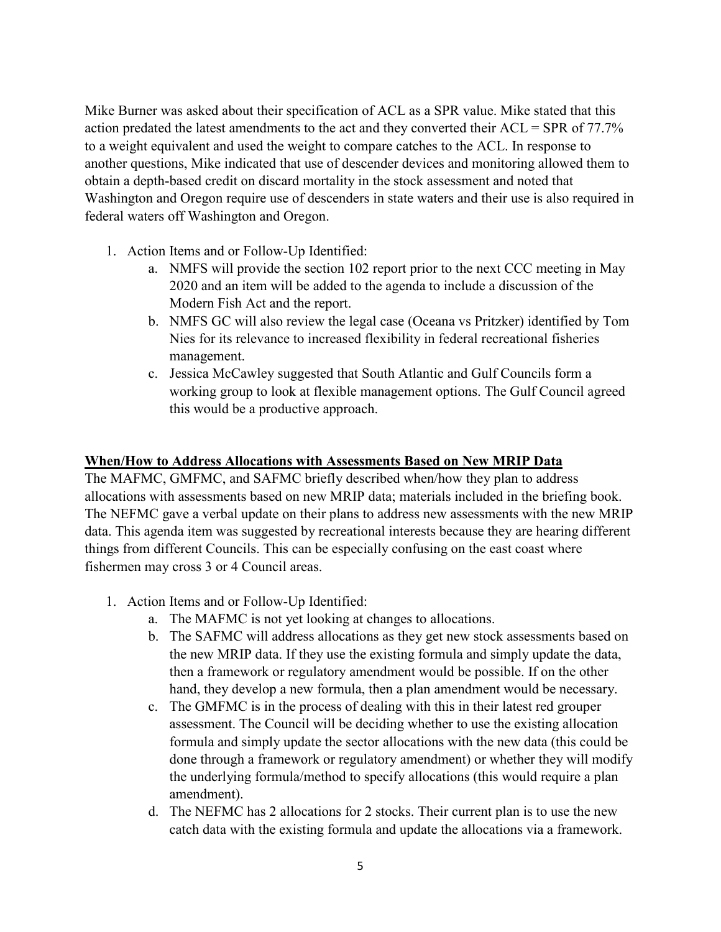Mike Burner was asked about their specification of ACL as a SPR value. Mike stated that this action predated the latest amendments to the act and they converted their ACL = SPR of 77.7% to a weight equivalent and used the weight to compare catches to the ACL. In response to another questions, Mike indicated that use of descender devices and monitoring allowed them to obtain a depth-based credit on discard mortality in the stock assessment and noted that Washington and Oregon require use of descenders in state waters and their use is also required in federal waters off Washington and Oregon.

- 1. Action Items and or Follow-Up Identified:
	- a. NMFS will provide the section 102 report prior to the next CCC meeting in May 2020 and an item will be added to the agenda to include a discussion of the Modern Fish Act and the report.
	- b. NMFS GC will also review the legal case (Oceana vs Pritzker) identified by Tom Nies for its relevance to increased flexibility in federal recreational fisheries management.
	- c. Jessica McCawley suggested that South Atlantic and Gulf Councils form a working group to look at flexible management options. The Gulf Council agreed this would be a productive approach.

#### **When/How to Address Allocations with Assessments Based on New MRIP Data**

The MAFMC, GMFMC, and SAFMC briefly described when/how they plan to address allocations with assessments based on new MRIP data; materials included in the briefing book. The NEFMC gave a verbal update on their plans to address new assessments with the new MRIP data. This agenda item was suggested by recreational interests because they are hearing different things from different Councils. This can be especially confusing on the east coast where fishermen may cross 3 or 4 Council areas.

- 1. Action Items and or Follow-Up Identified:
	- a. The MAFMC is not yet looking at changes to allocations.
	- b. The SAFMC will address allocations as they get new stock assessments based on the new MRIP data. If they use the existing formula and simply update the data, then a framework or regulatory amendment would be possible. If on the other hand, they develop a new formula, then a plan amendment would be necessary.
	- c. The GMFMC is in the process of dealing with this in their latest red grouper assessment. The Council will be deciding whether to use the existing allocation formula and simply update the sector allocations with the new data (this could be done through a framework or regulatory amendment) or whether they will modify the underlying formula/method to specify allocations (this would require a plan amendment).
	- d. The NEFMC has 2 allocations for 2 stocks. Their current plan is to use the new catch data with the existing formula and update the allocations via a framework.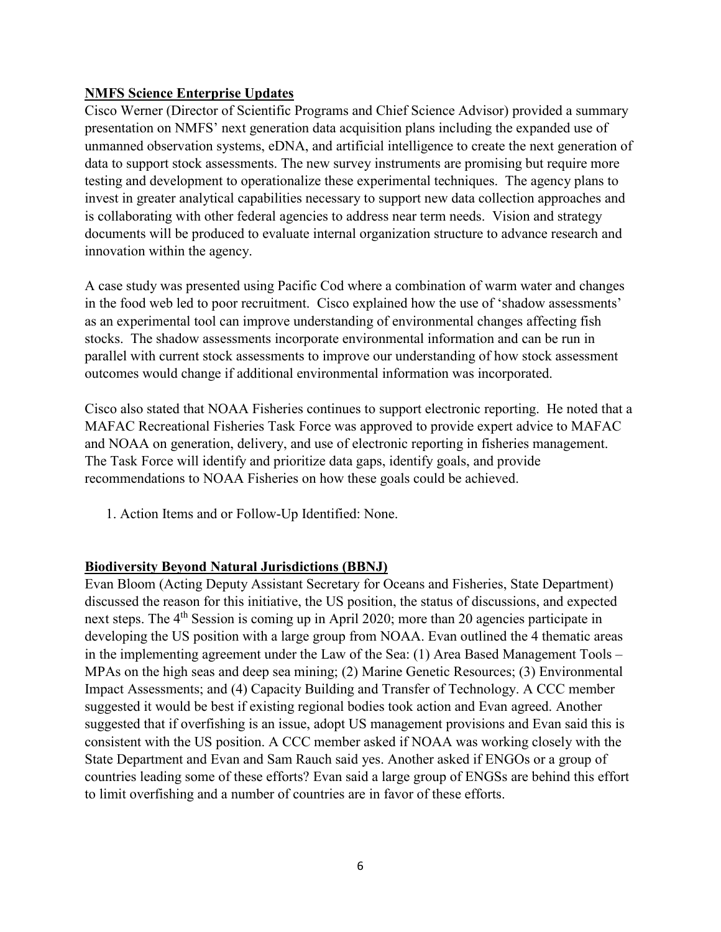#### **NMFS Science Enterprise Updates**

Cisco Werner (Director of Scientific Programs and Chief Science Advisor) provided a summary presentation on NMFS' next generation data acquisition plans including the expanded use of unmanned observation systems, eDNA, and artificial intelligence to create the next generation of data to support stock assessments. The new survey instruments are promising but require more testing and development to operationalize these experimental techniques. The agency plans to invest in greater analytical capabilities necessary to support new data collection approaches and is collaborating with other federal agencies to address near term needs. Vision and strategy documents will be produced to evaluate internal organization structure to advance research and innovation within the agency.

A case study was presented using Pacific Cod where a combination of warm water and changes in the food web led to poor recruitment. Cisco explained how the use of 'shadow assessments' as an experimental tool can improve understanding of environmental changes affecting fish stocks. The shadow assessments incorporate environmental information and can be run in parallel with current stock assessments to improve our understanding of how stock assessment outcomes would change if additional environmental information was incorporated.

Cisco also stated that NOAA Fisheries continues to support electronic reporting. He noted that a MAFAC Recreational Fisheries Task Force was approved to provide expert advice to MAFAC and NOAA on generation, delivery, and use of electronic reporting in fisheries management. The Task Force will identify and prioritize data gaps, identify goals, and provide recommendations to NOAA Fisheries on how these goals could be achieved.

1. Action Items and or Follow-Up Identified: None.

#### **Biodiversity Beyond Natural Jurisdictions (BBNJ)**

Evan Bloom (Acting Deputy Assistant Secretary for Oceans and Fisheries, State Department) discussed the reason for this initiative, the US position, the status of discussions, and expected next steps. The 4<sup>th</sup> Session is coming up in April 2020; more than 20 agencies participate in developing the US position with a large group from NOAA. Evan outlined the 4 thematic areas in the implementing agreement under the Law of the Sea: (1) Area Based Management Tools – MPAs on the high seas and deep sea mining; (2) Marine Genetic Resources; (3) Environmental Impact Assessments; and (4) Capacity Building and Transfer of Technology. A CCC member suggested it would be best if existing regional bodies took action and Evan agreed. Another suggested that if overfishing is an issue, adopt US management provisions and Evan said this is consistent with the US position. A CCC member asked if NOAA was working closely with the State Department and Evan and Sam Rauch said yes. Another asked if ENGOs or a group of countries leading some of these efforts? Evan said a large group of ENGSs are behind this effort to limit overfishing and a number of countries are in favor of these efforts.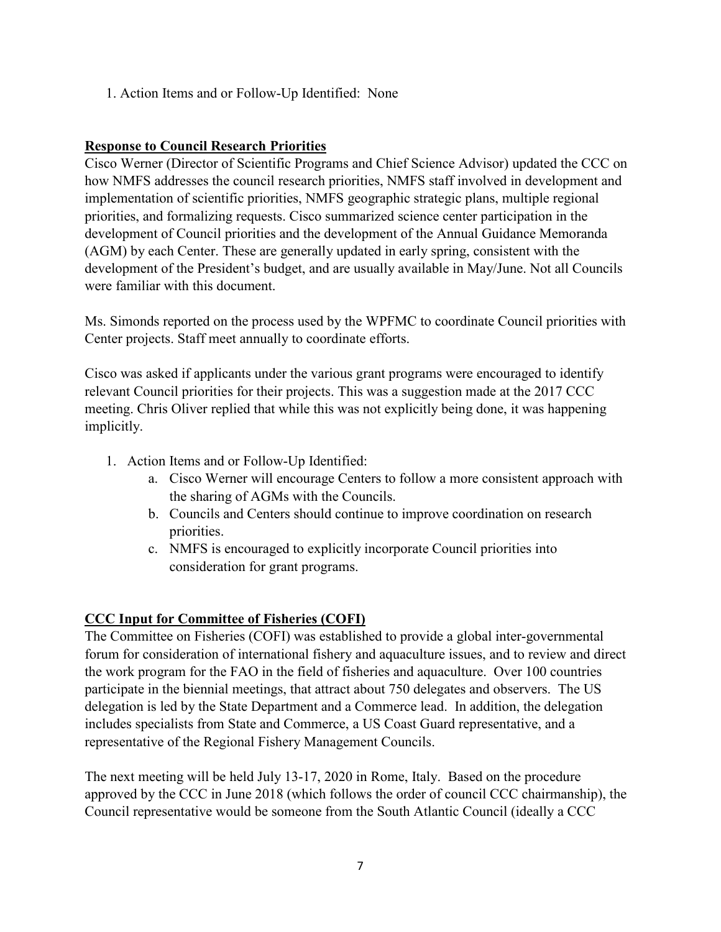1. Action Items and or Follow-Up Identified: None

#### **Response to Council Research Priorities**

Cisco Werner (Director of Scientific Programs and Chief Science Advisor) updated the CCC on how NMFS addresses the council research priorities, NMFS staff involved in development and implementation of scientific priorities, NMFS geographic strategic plans, multiple regional priorities, and formalizing requests. Cisco summarized science center participation in the development of Council priorities and the development of the Annual Guidance Memoranda (AGM) by each Center. These are generally updated in early spring, consistent with the development of the President's budget, and are usually available in May/June. Not all Councils were familiar with this document.

Ms. Simonds reported on the process used by the WPFMC to coordinate Council priorities with Center projects. Staff meet annually to coordinate efforts.

Cisco was asked if applicants under the various grant programs were encouraged to identify relevant Council priorities for their projects. This was a suggestion made at the 2017 CCC meeting. Chris Oliver replied that while this was not explicitly being done, it was happening implicitly.

- 1. Action Items and or Follow-Up Identified:
	- a. Cisco Werner will encourage Centers to follow a more consistent approach with the sharing of AGMs with the Councils.
	- b. Councils and Centers should continue to improve coordination on research priorities.
	- c. NMFS is encouraged to explicitly incorporate Council priorities into consideration for grant programs.

# **CCC Input for Committee of Fisheries (COFI)**

The Committee on Fisheries (COFI) was established to provide a global inter-governmental forum for consideration of international fishery and aquaculture issues, and to review and direct the work program for the FAO in the field of fisheries and aquaculture. Over 100 countries participate in the biennial meetings, that attract about 750 delegates and observers. The US delegation is led by the State Department and a Commerce lead. In addition, the delegation includes specialists from State and Commerce, a US Coast Guard representative, and a representative of the Regional Fishery Management Councils.

The next meeting will be held July 13-17, 2020 in Rome, Italy. Based on the procedure approved by the CCC in June 2018 (which follows the order of council CCC chairmanship), the Council representative would be someone from the South Atlantic Council (ideally a CCC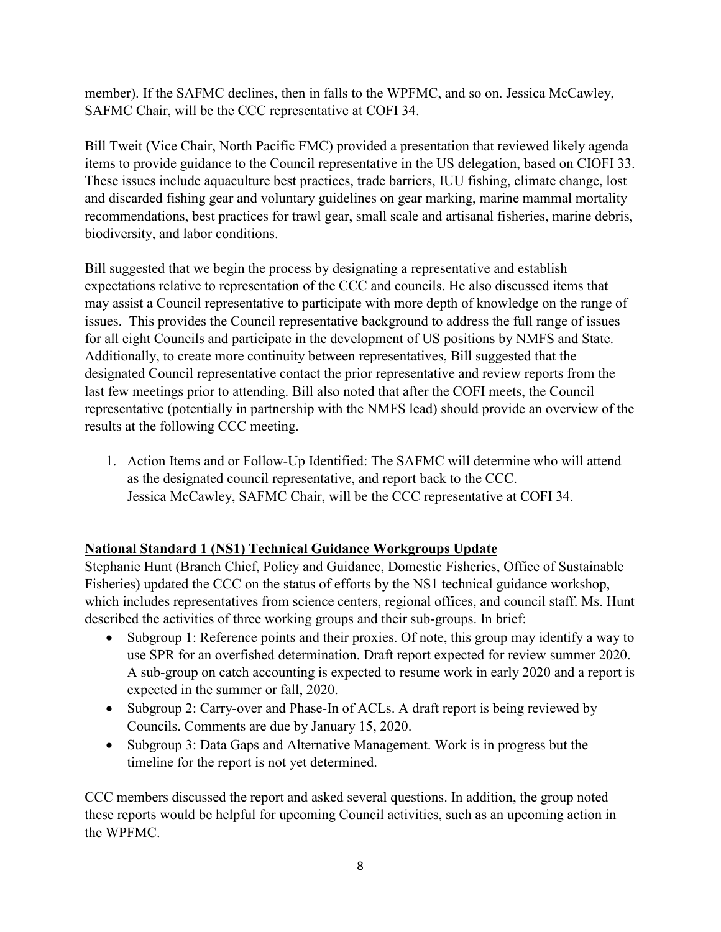member). If the SAFMC declines, then in falls to the WPFMC, and so on. Jessica McCawley, SAFMC Chair, will be the CCC representative at COFI 34.

Bill Tweit (Vice Chair, North Pacific FMC) provided a presentation that reviewed likely agenda items to provide guidance to the Council representative in the US delegation, based on CIOFI 33. These issues include aquaculture best practices, trade barriers, IUU fishing, climate change, lost and discarded fishing gear and voluntary guidelines on gear marking, marine mammal mortality recommendations, best practices for trawl gear, small scale and artisanal fisheries, marine debris, biodiversity, and labor conditions.

Bill suggested that we begin the process by designating a representative and establish expectations relative to representation of the CCC and councils. He also discussed items that may assist a Council representative to participate with more depth of knowledge on the range of issues. This provides the Council representative background to address the full range of issues for all eight Councils and participate in the development of US positions by NMFS and State. Additionally, to create more continuity between representatives, Bill suggested that the designated Council representative contact the prior representative and review reports from the last few meetings prior to attending. Bill also noted that after the COFI meets, the Council representative (potentially in partnership with the NMFS lead) should provide an overview of the results at the following CCC meeting.

1. Action Items and or Follow-Up Identified: The SAFMC will determine who will attend as the designated council representative, and report back to the CCC. Jessica McCawley, SAFMC Chair, will be the CCC representative at COFI 34.

# **National Standard 1 (NS1) Technical Guidance Workgroups Update**

Stephanie Hunt (Branch Chief, Policy and Guidance, Domestic Fisheries, Office of Sustainable Fisheries) updated the CCC on the status of efforts by the NS1 technical guidance workshop, which includes representatives from science centers, regional offices, and council staff. Ms. Hunt described the activities of three working groups and their sub-groups. In brief:

- Subgroup 1: Reference points and their proxies. Of note, this group may identify a way to use SPR for an overfished determination. Draft report expected for review summer 2020. A sub-group on catch accounting is expected to resume work in early 2020 and a report is expected in the summer or fall, 2020.
- Subgroup 2: Carry-over and Phase-In of ACLs. A draft report is being reviewed by Councils. Comments are due by January 15, 2020.
- Subgroup 3: Data Gaps and Alternative Management. Work is in progress but the timeline for the report is not yet determined.

CCC members discussed the report and asked several questions. In addition, the group noted these reports would be helpful for upcoming Council activities, such as an upcoming action in the WPFMC.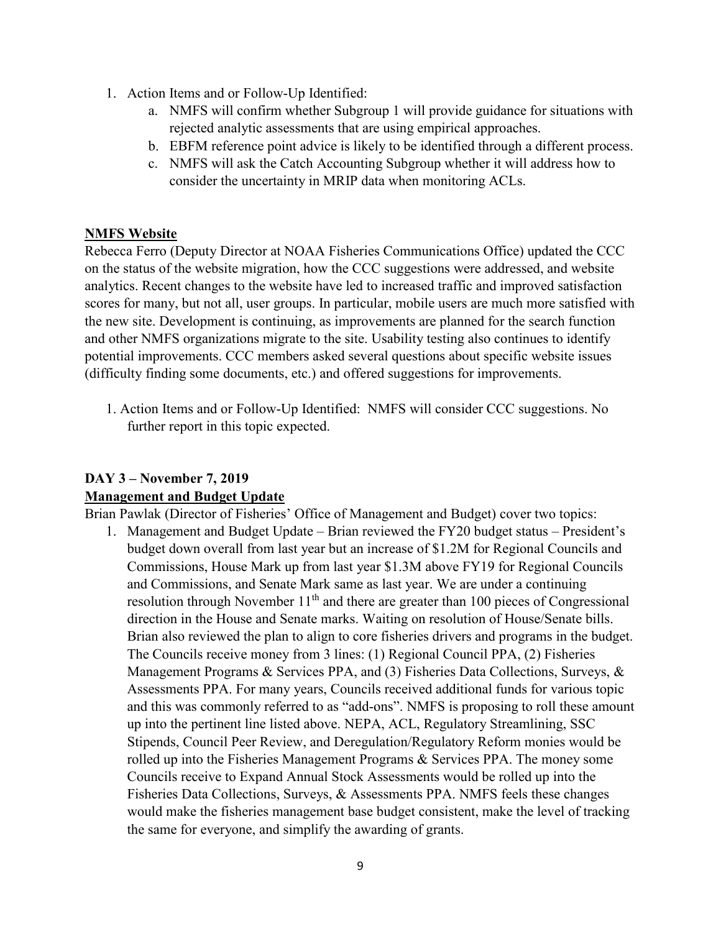- 1. Action Items and or Follow-Up Identified:
	- a. NMFS will confirm whether Subgroup 1 will provide guidance for situations with rejected analytic assessments that are using empirical approaches.
	- b. EBFM reference point advice is likely to be identified through a different process.
	- c. NMFS will ask the Catch Accounting Subgroup whether it will address how to consider the uncertainty in MRIP data when monitoring ACLs.

#### **NMFS Website**

Rebecca Ferro (Deputy Director at NOAA Fisheries Communications Office) updated the CCC on the status of the website migration, how the CCC suggestions were addressed, and website analytics. Recent changes to the website have led to increased traffic and improved satisfaction scores for many, but not all, user groups. In particular, mobile users are much more satisfied with the new site. Development is continuing, as improvements are planned for the search function and other NMFS organizations migrate to the site. Usability testing also continues to identify potential improvements. CCC members asked several questions about specific website issues (difficulty finding some documents, etc.) and offered suggestions for improvements.

1. Action Items and or Follow-Up Identified: NMFS will consider CCC suggestions. No further report in this topic expected.

# **DAY 3 – November 7, 2019 Management and Budget Update**

Brian Pawlak (Director of Fisheries' Office of Management and Budget) cover two topics:

1. Management and Budget Update – Brian reviewed the FY20 budget status – President's budget down overall from last year but an increase of \$1.2M for Regional Councils and Commissions, House Mark up from last year \$1.3M above FY19 for Regional Councils and Commissions, and Senate Mark same as last year. We are under a continuing resolution through November  $11<sup>th</sup>$  and there are greater than 100 pieces of Congressional direction in the House and Senate marks. Waiting on resolution of House/Senate bills. Brian also reviewed the plan to align to core fisheries drivers and programs in the budget. The Councils receive money from 3 lines: (1) Regional Council PPA, (2) Fisheries Management Programs & Services PPA, and (3) Fisheries Data Collections, Surveys, & Assessments PPA. For many years, Councils received additional funds for various topic and this was commonly referred to as "add-ons". NMFS is proposing to roll these amount up into the pertinent line listed above. NEPA, ACL, Regulatory Streamlining, SSC Stipends, Council Peer Review, and Deregulation/Regulatory Reform monies would be rolled up into the Fisheries Management Programs & Services PPA. The money some Councils receive to Expand Annual Stock Assessments would be rolled up into the Fisheries Data Collections, Surveys, & Assessments PPA. NMFS feels these changes would make the fisheries management base budget consistent, make the level of tracking the same for everyone, and simplify the awarding of grants.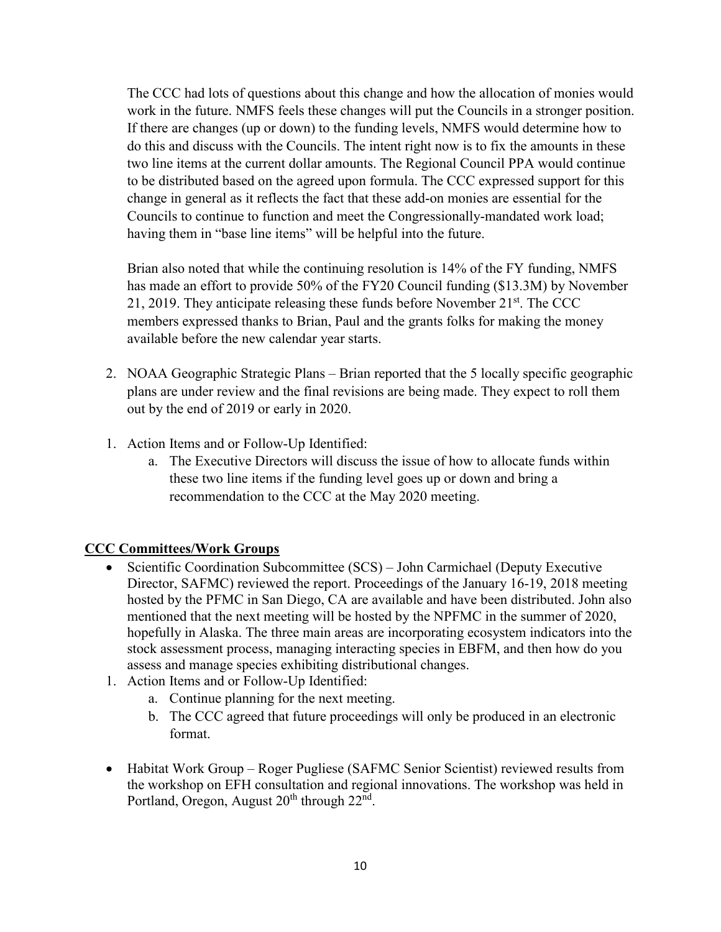The CCC had lots of questions about this change and how the allocation of monies would work in the future. NMFS feels these changes will put the Councils in a stronger position. If there are changes (up or down) to the funding levels, NMFS would determine how to do this and discuss with the Councils. The intent right now is to fix the amounts in these two line items at the current dollar amounts. The Regional Council PPA would continue to be distributed based on the agreed upon formula. The CCC expressed support for this change in general as it reflects the fact that these add-on monies are essential for the Councils to continue to function and meet the Congressionally-mandated work load; having them in "base line items" will be helpful into the future.

Brian also noted that while the continuing resolution is 14% of the FY funding, NMFS has made an effort to provide 50% of the FY20 Council funding (\$13.3M) by November 21, 2019. They anticipate releasing these funds before November  $21<sup>st</sup>$ . The CCC members expressed thanks to Brian, Paul and the grants folks for making the money available before the new calendar year starts.

- 2. NOAA Geographic Strategic Plans Brian reported that the 5 locally specific geographic plans are under review and the final revisions are being made. They expect to roll them out by the end of 2019 or early in 2020.
- 1. Action Items and or Follow-Up Identified:
	- a. The Executive Directors will discuss the issue of how to allocate funds within these two line items if the funding level goes up or down and bring a recommendation to the CCC at the May 2020 meeting.

#### **CCC Committees/Work Groups**

- Scientific Coordination Subcommittee (SCS) John Carmichael (Deputy Executive Director, SAFMC) reviewed the report. Proceedings of the January 16-19, 2018 meeting hosted by the PFMC in San Diego, CA are available and have been distributed. John also mentioned that the next meeting will be hosted by the NPFMC in the summer of 2020, hopefully in Alaska. The three main areas are incorporating ecosystem indicators into the stock assessment process, managing interacting species in EBFM, and then how do you assess and manage species exhibiting distributional changes.
- 1. Action Items and or Follow-Up Identified:
	- a. Continue planning for the next meeting.
	- b. The CCC agreed that future proceedings will only be produced in an electronic format.
- Habitat Work Group Roger Pugliese (SAFMC Senior Scientist) reviewed results from the workshop on EFH consultation and regional innovations. The workshop was held in Portland, Oregon, August  $20<sup>th</sup>$  through  $22<sup>nd</sup>$ .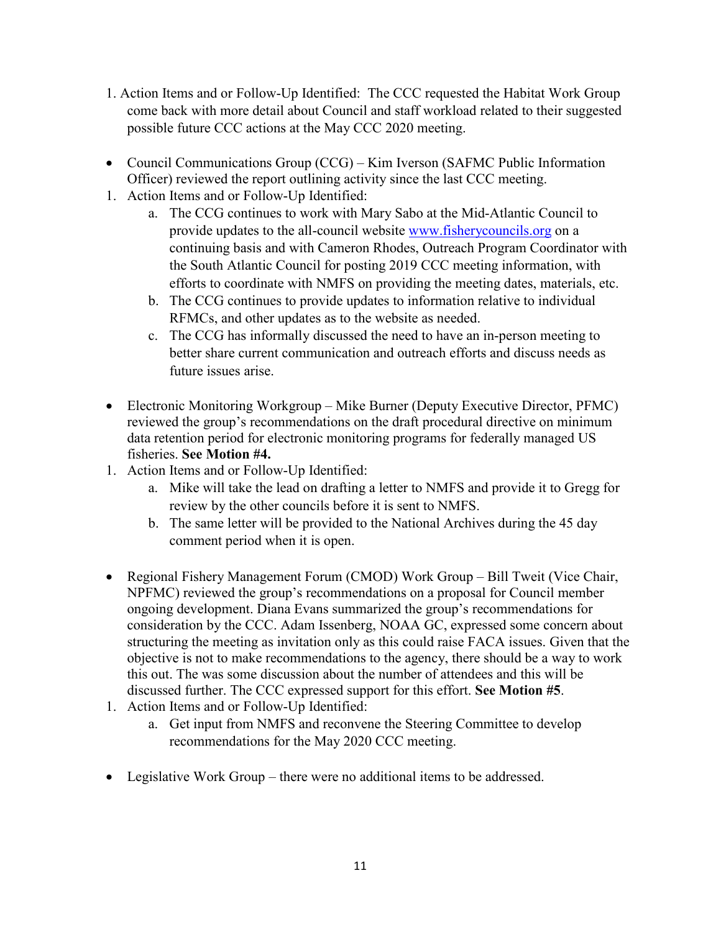- 1. Action Items and or Follow-Up Identified: The CCC requested the Habitat Work Group come back with more detail about Council and staff workload related to their suggested possible future CCC actions at the May CCC 2020 meeting.
- Council Communications Group (CCG) Kim Iverson (SAFMC Public Information Officer) reviewed the report outlining activity since the last CCC meeting.
- 1. Action Items and or Follow-Up Identified:
	- a. The CCG continues to work with Mary Sabo at the Mid-Atlantic Council to provide updates to the all-council website [www.fisherycouncils.org](http://www.fisherycouncils.org/) on a continuing basis and with Cameron Rhodes, Outreach Program Coordinator with the South Atlantic Council for posting 2019 CCC meeting information, with efforts to coordinate with NMFS on providing the meeting dates, materials, etc.
	- b. The CCG continues to provide updates to information relative to individual RFMCs, and other updates as to the website as needed.
	- c. The CCG has informally discussed the need to have an in-person meeting to better share current communication and outreach efforts and discuss needs as future issues arise.
- Electronic Monitoring Workgroup Mike Burner (Deputy Executive Director, PFMC) reviewed the group's recommendations on the draft procedural directive on minimum data retention period for electronic monitoring programs for federally managed US fisheries. **See Motion #4.**
- 1. Action Items and or Follow-Up Identified:
	- a. Mike will take the lead on drafting a letter to NMFS and provide it to Gregg for review by the other councils before it is sent to NMFS.
	- b. The same letter will be provided to the National Archives during the 45 day comment period when it is open.
- Regional Fishery Management Forum (CMOD) Work Group Bill Tweit (Vice Chair, NPFMC) reviewed the group's recommendations on a proposal for Council member ongoing development. Diana Evans summarized the group's recommendations for consideration by the CCC. Adam Issenberg, NOAA GC, expressed some concern about structuring the meeting as invitation only as this could raise FACA issues. Given that the objective is not to make recommendations to the agency, there should be a way to work this out. The was some discussion about the number of attendees and this will be discussed further. The CCC expressed support for this effort. **See Motion #5**.
- 1. Action Items and or Follow-Up Identified:
	- a. Get input from NMFS and reconvene the Steering Committee to develop recommendations for the May 2020 CCC meeting.
- Legislative Work Group there were no additional items to be addressed.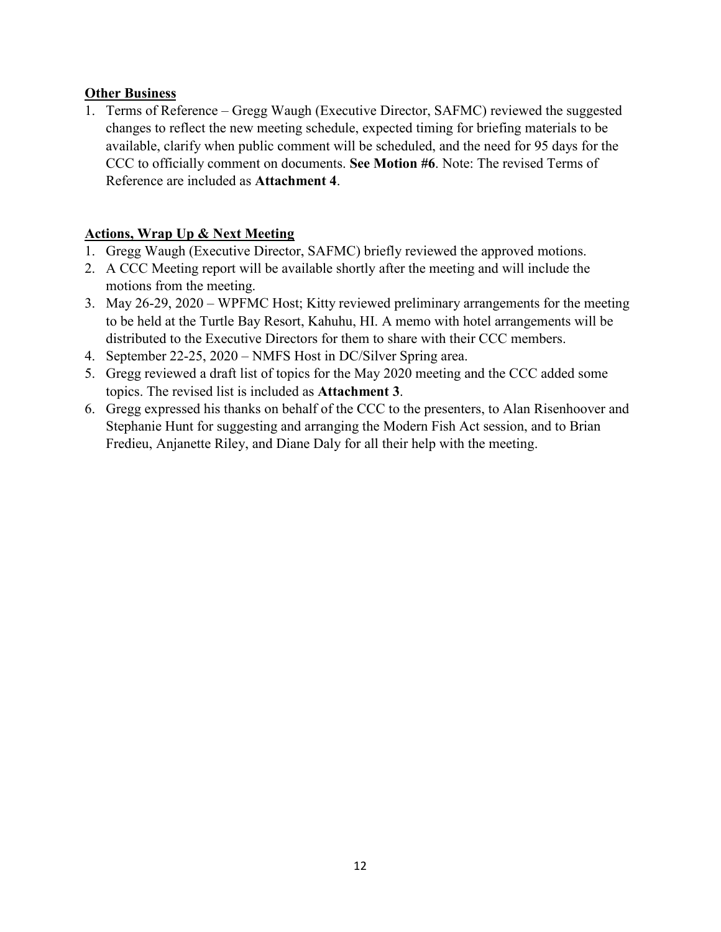#### **Other Business**

1. Terms of Reference – Gregg Waugh (Executive Director, SAFMC) reviewed the suggested changes to reflect the new meeting schedule, expected timing for briefing materials to be available, clarify when public comment will be scheduled, and the need for 95 days for the CCC to officially comment on documents. **See Motion #6**. Note: The revised Terms of Reference are included as **Attachment 4**.

#### **Actions, Wrap Up & Next Meeting**

- 1. Gregg Waugh (Executive Director, SAFMC) briefly reviewed the approved motions.
- 2. A CCC Meeting report will be available shortly after the meeting and will include the motions from the meeting.
- 3. May 26-29, 2020 WPFMC Host; Kitty reviewed preliminary arrangements for the meeting to be held at the Turtle Bay Resort, Kahuhu, HI. A memo with hotel arrangements will be distributed to the Executive Directors for them to share with their CCC members.
- 4. September 22-25, 2020 NMFS Host in DC/Silver Spring area.
- 5. Gregg reviewed a draft list of topics for the May 2020 meeting and the CCC added some topics. The revised list is included as **Attachment 3**.
- 6. Gregg expressed his thanks on behalf of the CCC to the presenters, to Alan Risenhoover and Stephanie Hunt for suggesting and arranging the Modern Fish Act session, and to Brian Fredieu, Anjanette Riley, and Diane Daly for all their help with the meeting.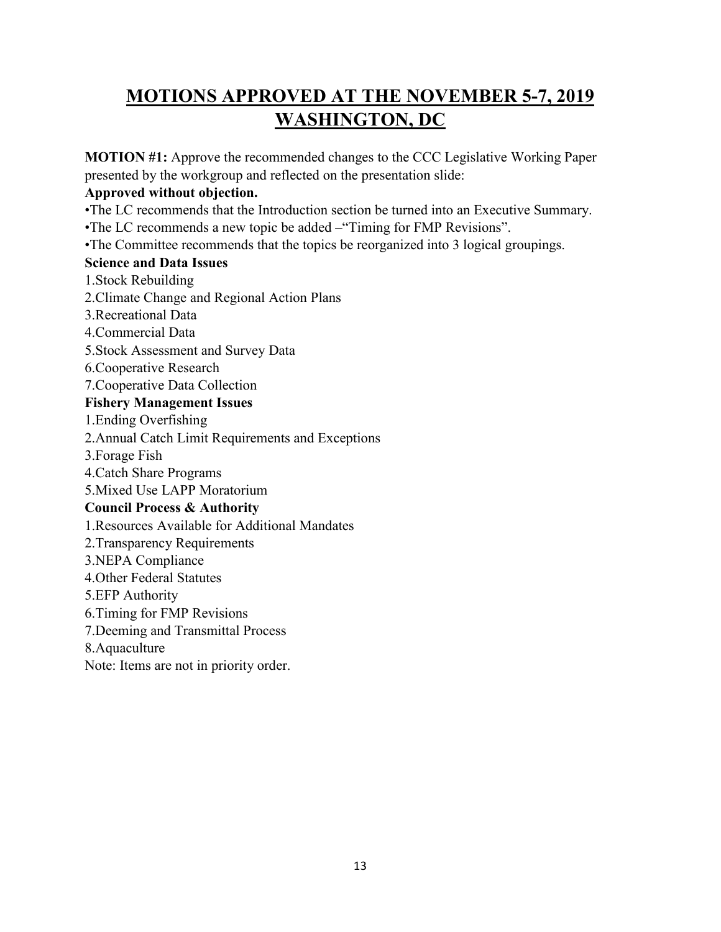# **MOTIONS APPROVED AT THE NOVEMBER 5-7, 2019 WASHINGTON, DC**

**MOTION #1:** Approve the recommended changes to the CCC Legislative Working Paper presented by the workgroup and reflected on the presentation slide:

#### **Approved without objection.**

- •The LC recommends that the Introduction section be turned into an Executive Summary.
- •The LC recommends a new topic be added –"Timing for FMP Revisions".
- •The Committee recommends that the topics be reorganized into 3 logical groupings.

#### **Science and Data Issues**

- 1.Stock Rebuilding
- 2.Climate Change and Regional Action Plans
- 3.Recreational Data
- 4.Commercial Data
- 5.Stock Assessment and Survey Data
- 6.Cooperative Research
- 7.Cooperative Data Collection

# **Fishery Management Issues**

- 1.Ending Overfishing
- 2.Annual Catch Limit Requirements and Exceptions
- 3.Forage Fish
- 4.Catch Share Programs
- 5.Mixed Use LAPP Moratorium

#### **Council Process & Authority**

- 1.Resources Available for Additional Mandates
- 2.Transparency Requirements
- 3.NEPA Compliance
- 4.Other Federal Statutes
- 5.EFP Authority
- 6.Timing for FMP Revisions
- 7.Deeming and Transmittal Process
- 8.Aquaculture
- Note: Items are not in priority order.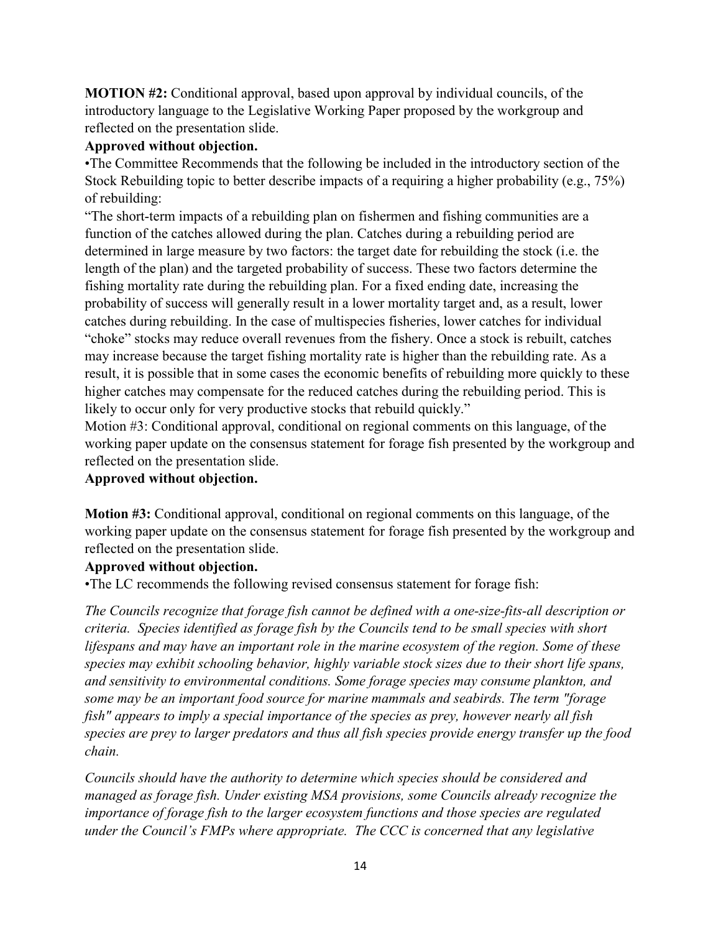**MOTION #2:** Conditional approval, based upon approval by individual councils, of the introductory language to the Legislative Working Paper proposed by the workgroup and reflected on the presentation slide.

#### **Approved without objection.**

•The Committee Recommends that the following be included in the introductory section of the Stock Rebuilding topic to better describe impacts of a requiring a higher probability (e.g., 75%) of rebuilding:

"The short-term impacts of a rebuilding plan on fishermen and fishing communities are a function of the catches allowed during the plan. Catches during a rebuilding period are determined in large measure by two factors: the target date for rebuilding the stock (i.e. the length of the plan) and the targeted probability of success. These two factors determine the fishing mortality rate during the rebuilding plan. For a fixed ending date, increasing the probability of success will generally result in a lower mortality target and, as a result, lower catches during rebuilding. In the case of multispecies fisheries, lower catches for individual "choke" stocks may reduce overall revenues from the fishery. Once a stock is rebuilt, catches may increase because the target fishing mortality rate is higher than the rebuilding rate. As a result, it is possible that in some cases the economic benefits of rebuilding more quickly to these higher catches may compensate for the reduced catches during the rebuilding period. This is likely to occur only for very productive stocks that rebuild quickly."

Motion #3: Conditional approval, conditional on regional comments on this language, of the working paper update on the consensus statement for forage fish presented by the workgroup and reflected on the presentation slide.

# **Approved without objection.**

**Motion #3:** Conditional approval, conditional on regional comments on this language, of the working paper update on the consensus statement for forage fish presented by the workgroup and reflected on the presentation slide.

#### **Approved without objection.**

•The LC recommends the following revised consensus statement for forage fish:

*The Councils recognize that forage fish cannot be defined with a one-size-fits-all description or criteria. Species identified as forage fish by the Councils tend to be small species with short lifespans and may have an important role in the marine ecosystem of the region. Some of these species may exhibit schooling behavior, highly variable stock sizes due to their short life spans, and sensitivity to environmental conditions. Some forage species may consume plankton, and some may be an important food source for marine mammals and seabirds. The term "forage fish" appears to imply a special importance of the species as prey, however nearly all fish species are prey to larger predators and thus all fish species provide energy transfer up the food chain.*

*Councils should have the authority to determine which species should be considered and managed as forage fish. Under existing MSA provisions, some Councils already recognize the importance of forage fish to the larger ecosystem functions and those species are regulated under the Council's FMPs where appropriate. The CCC is concerned that any legislative*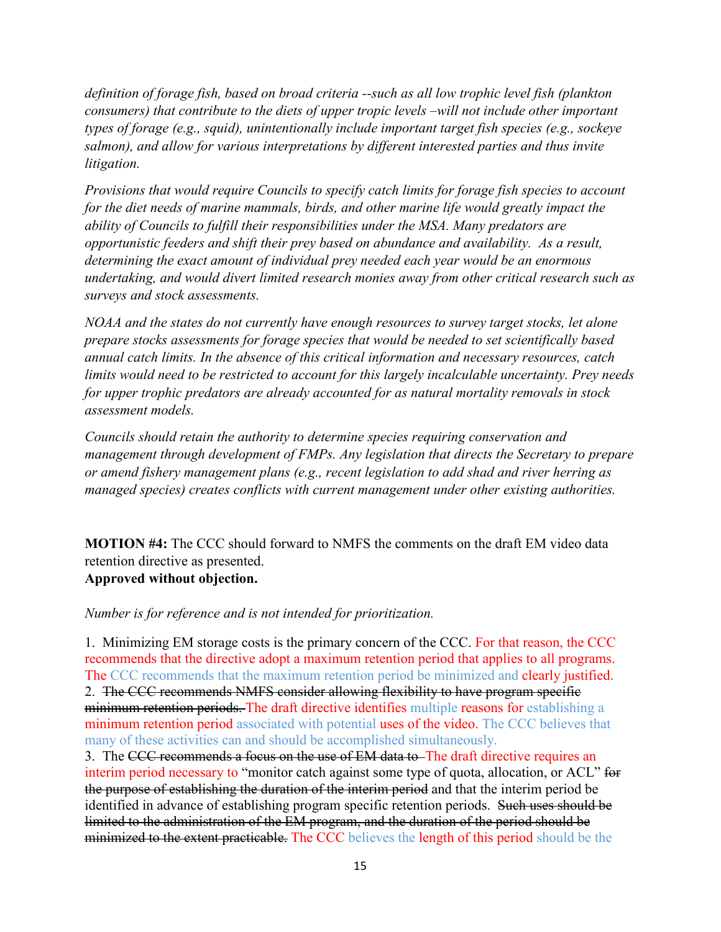*definition of forage fish, based on broad criteria --such as all low trophic level fish (plankton consumers) that contribute to the diets of upper tropic levels –will not include other important types of forage (e.g., squid), unintentionally include important target fish species (e.g., sockeye salmon), and allow for various interpretations by different interested parties and thus invite litigation.* 

*Provisions that would require Councils to specify catch limits for forage fish species to account for the diet needs of marine mammals, birds, and other marine life would greatly impact the ability of Councils to fulfill their responsibilities under the MSA. Many predators are opportunistic feeders and shift their prey based on abundance and availability. As a result, determining the exact amount of individual prey needed each year would be an enormous undertaking, and would divert limited research monies away from other critical research such as surveys and stock assessments.* 

*NOAA and the states do not currently have enough resources to survey target stocks, let alone prepare stocks assessments for forage species that would be needed to set scientifically based annual catch limits. In the absence of this critical information and necessary resources, catch limits would need to be restricted to account for this largely incalculable uncertainty. Prey needs for upper trophic predators are already accounted for as natural mortality removals in stock assessment models.* 

*Councils should retain the authority to determine species requiring conservation and management through development of FMPs. Any legislation that directs the Secretary to prepare or amend fishery management plans (e.g., recent legislation to add shad and river herring as managed species) creates conflicts with current management under other existing authorities.*

**MOTION #4:** The CCC should forward to NMFS the comments on the draft EM video data retention directive as presented. **Approved without objection.**

#### *Number is for reference and is not intended for prioritization.*

1. Minimizing EM storage costs is the primary concern of the CCC. For that reason, the CCC recommends that the directive adopt a maximum retention period that applies to all programs. The CCC recommends that the maximum retention period be minimized and **clearly justified.** 2. The CCC recommends NMFS consider allowing flexibility to have program specific minimum retention periods. The draft directive identifies multiple reasons for establishing a minimum retention period associated with potential uses of the video. The CCC believes that many of these activities can and should be accomplished simultaneously.

3. The CCC recommends a focus on the use of EM data to The draft directive requires an interim period necessary to "monitor catch against some type of quota, allocation, or ACL" for the purpose of establishing the duration of the interim period and that the interim period be identified in advance of establishing program specific retention periods. Such uses should be limited to the administration of the EM program, and the duration of the period should be minimized to the extent practicable. The CCC believes the length of this period should be the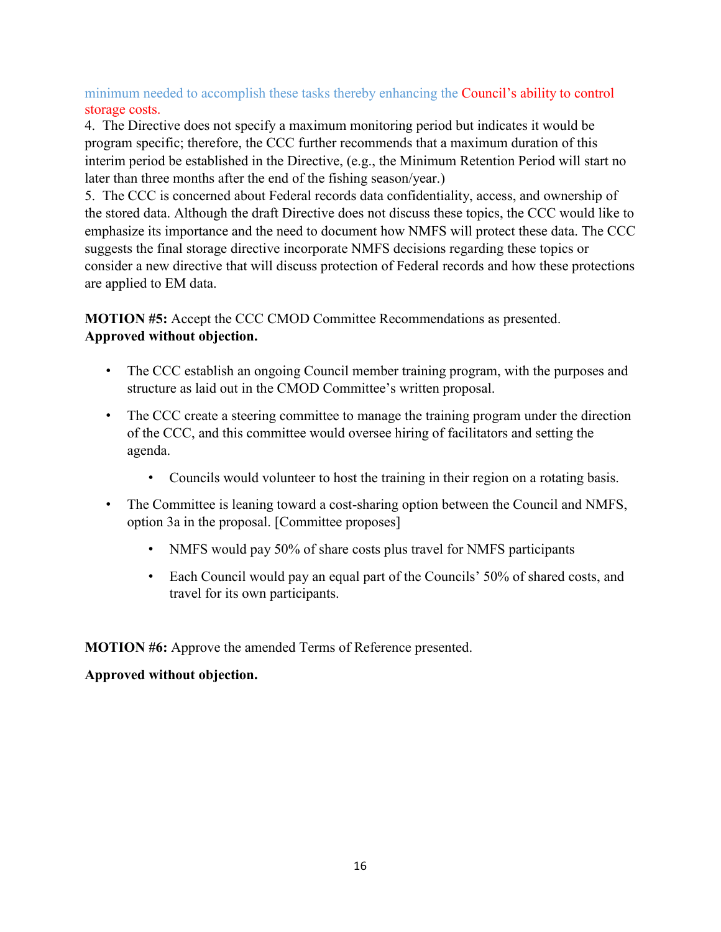minimum needed to accomplish these tasks thereby enhancing the Council's ability to control storage costs.

4. The Directive does not specify a maximum monitoring period but indicates it would be program specific; therefore, the CCC further recommends that a maximum duration of this interim period be established in the Directive, (e.g., the Minimum Retention Period will start no later than three months after the end of the fishing season/year.)

5. The CCC is concerned about Federal records data confidentiality, access, and ownership of the stored data. Although the draft Directive does not discuss these topics, the CCC would like to emphasize its importance and the need to document how NMFS will protect these data. The CCC suggests the final storage directive incorporate NMFS decisions regarding these topics or consider a new directive that will discuss protection of Federal records and how these protections are applied to EM data.

**MOTION #5:** Accept the CCC CMOD Committee Recommendations as presented. **Approved without objection.**

- The CCC establish an ongoing Council member training program, with the purposes and structure as laid out in the CMOD Committee's written proposal.
- The CCC create a steering committee to manage the training program under the direction of the CCC, and this committee would oversee hiring of facilitators and setting the agenda.
	- Councils would volunteer to host the training in their region on a rotating basis.
- The Committee is leaning toward a cost-sharing option between the Council and NMFS, option 3a in the proposal. [Committee proposes]
	- NMFS would pay 50% of share costs plus travel for NMFS participants
	- Each Council would pay an equal part of the Councils' 50% of shared costs, and travel for its own participants.

**MOTION #6:** Approve the amended Terms of Reference presented.

# **Approved without objection.**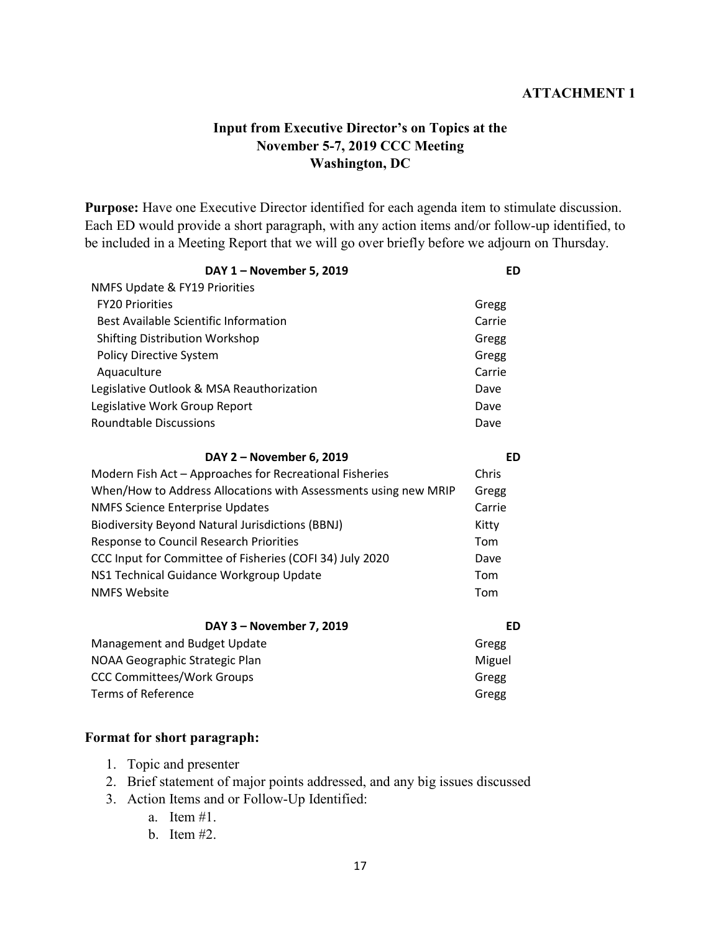#### **ATTACHMENT 1**

#### **Input from Executive Director's on Topics at the November 5-7, 2019 CCC Meeting Washington, DC**

**Purpose:** Have one Executive Director identified for each agenda item to stimulate discussion. Each ED would provide a short paragraph, with any action items and/or follow-up identified, to be included in a Meeting Report that we will go over briefly before we adjourn on Thursday.

| DAY 1 - November 5, 2019                                        | <b>ED</b> |
|-----------------------------------------------------------------|-----------|
| <b>NMFS Update &amp; FY19 Priorities</b>                        |           |
| <b>FY20 Priorities</b>                                          | Gregg     |
| <b>Best Available Scientific Information</b>                    | Carrie    |
| <b>Shifting Distribution Workshop</b>                           | Gregg     |
| <b>Policy Directive System</b>                                  | Gregg     |
| Aquaculture                                                     | Carrie    |
| Legislative Outlook & MSA Reauthorization                       | Dave      |
| Legislative Work Group Report                                   | Dave      |
| <b>Roundtable Discussions</b>                                   | Dave      |
| DAY 2 - November 6, 2019                                        | ED        |
| Modern Fish Act - Approaches for Recreational Fisheries         | Chris     |
| When/How to Address Allocations with Assessments using new MRIP | Gregg     |
| <b>NMFS Science Enterprise Updates</b>                          | Carrie    |
| <b>Biodiversity Beyond Natural Jurisdictions (BBNJ)</b>         | Kitty     |
| Response to Council Research Priorities                         | Tom       |
| CCC Input for Committee of Fisheries (COFI 34) July 2020        | Dave      |
| NS1 Technical Guidance Workgroup Update                         | Tom       |
| <b>NMFS Website</b>                                             | Tom       |
| DAY 3 - November 7, 2019                                        | ED        |
| Management and Budget Update                                    | Gregg     |
| NOAA Geographic Strategic Plan                                  | Miguel    |
| <b>CCC Committees/Work Groups</b>                               | Gregg     |

#### **Format for short paragraph:**

- 1. Topic and presenter
- 2. Brief statement of major points addressed, and any big issues discussed

Terms of Reference Gregg

- 3. Action Items and or Follow-Up Identified:
	- a. Item #1.
	- b. Item #2.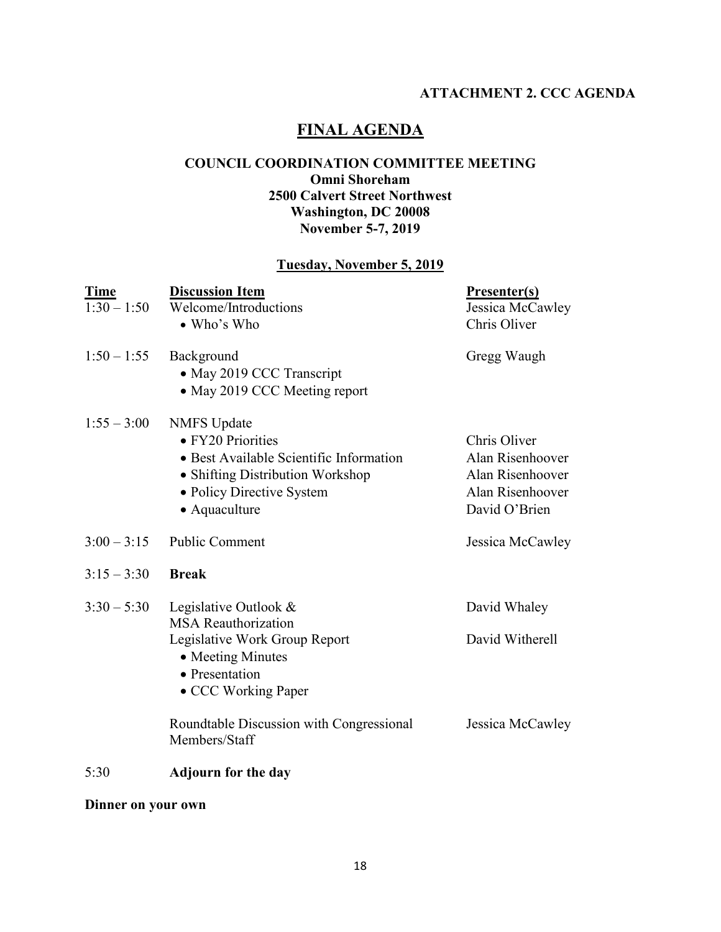# **ATTACHMENT 2. CCC AGENDA**

# **FINAL AGENDA**

#### **COUNCIL COORDINATION COMMITTEE MEETING Omni Shoreham 2500 Calvert Street Northwest Washington, DC 20008 November 5-7, 2019**

#### **Tuesday, November 5, 2019**

| <b>Time</b><br>$1:30 - 1:50$ | <b>Discussion Item</b><br>Welcome/Introductions<br>• Who's Who                                                                                                       | <b>Presenter(s)</b><br>Jessica McCawley<br>Chris Oliver                                   |
|------------------------------|----------------------------------------------------------------------------------------------------------------------------------------------------------------------|-------------------------------------------------------------------------------------------|
| $1:50 - 1:55$                | Background<br>• May 2019 CCC Transcript<br>• May 2019 CCC Meeting report                                                                                             | Gregg Waugh                                                                               |
| $1:55 - 3:00$                | <b>NMFS</b> Update<br>• FY20 Priorities<br>• Best Available Scientific Information<br>• Shifting Distribution Workshop<br>· Policy Directive System<br>• Aquaculture | Chris Oliver<br>Alan Risenhoover<br>Alan Risenhoover<br>Alan Risenhoover<br>David O'Brien |
| $3:00 - 3:15$                | Public Comment                                                                                                                                                       | Jessica McCawley                                                                          |
| $3:15 - 3:30$                | <b>Break</b>                                                                                                                                                         |                                                                                           |
| $3:30 - 5:30$                | Legislative Outlook &<br><b>MSA Reauthorization</b>                                                                                                                  | David Whaley                                                                              |
|                              | Legislative Work Group Report<br>• Meeting Minutes<br>• Presentation<br>• CCC Working Paper                                                                          | David Witherell                                                                           |
|                              | Roundtable Discussion with Congressional<br>Members/Staff                                                                                                            | Jessica McCawley                                                                          |
| 5:30                         | <b>Adjourn for the day</b>                                                                                                                                           |                                                                                           |

### **Dinner on your own**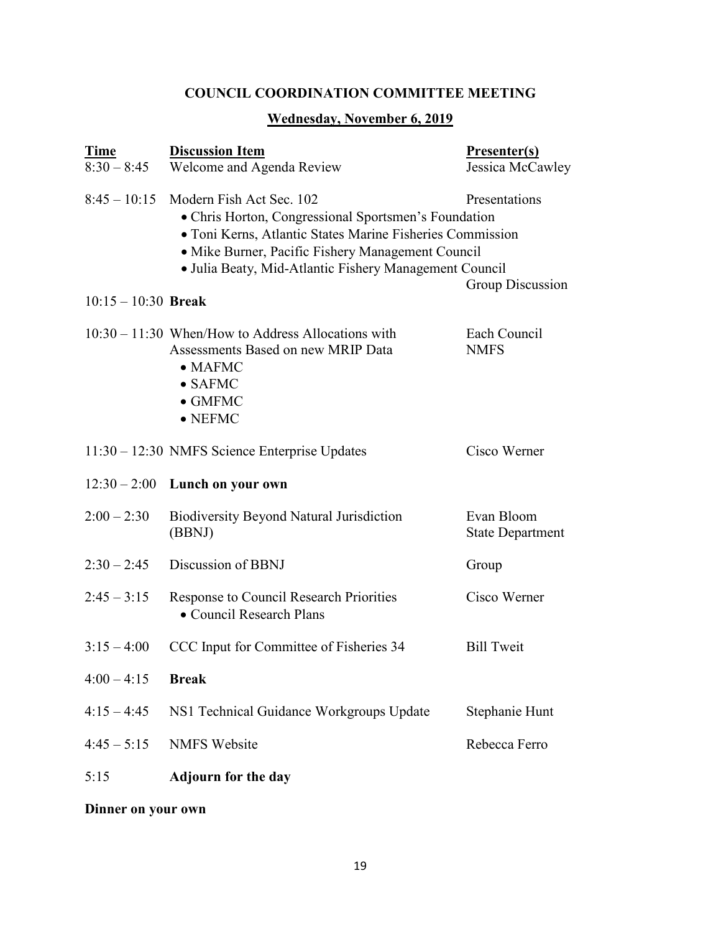# **COUNCIL COORDINATION COMMITTEE MEETING**

# **Wednesday, November 6, 2019**

| <b>Time</b><br>$8:30 - 8:45$ | <b>Discussion Item</b><br>Welcome and Agenda Review                                                                                                                                                                                                                                                            | Presenter(s)<br>Jessica McCawley      |
|------------------------------|----------------------------------------------------------------------------------------------------------------------------------------------------------------------------------------------------------------------------------------------------------------------------------------------------------------|---------------------------------------|
|                              | $8:45-10:15$ Modern Fish Act Sec. 102<br>Presentations<br>• Chris Horton, Congressional Sportsmen's Foundation<br>• Toni Kerns, Atlantic States Marine Fisheries Commission<br>• Mike Burner, Pacific Fishery Management Council<br>• Julia Beaty, Mid-Atlantic Fishery Management Council<br>Group Discussion |                                       |
| $10:15 - 10:30$ Break        |                                                                                                                                                                                                                                                                                                                |                                       |
|                              | $10:30 - 11:30$ When/How to Address Allocations with<br>Assessments Based on new MRIP Data<br>$\bullet$ MAFMC<br>$\bullet$ SAFMC<br>$\bullet$ GMFMC<br>$\bullet$ NEFMC                                                                                                                                         | Each Council<br><b>NMFS</b>           |
|                              | 11:30 - 12:30 NMFS Science Enterprise Updates                                                                                                                                                                                                                                                                  | Cisco Werner                          |
|                              | $12:30-2:00$ Lunch on your own                                                                                                                                                                                                                                                                                 |                                       |
| $2:00 - 2:30$                | <b>Biodiversity Beyond Natural Jurisdiction</b><br>(BBNJ)                                                                                                                                                                                                                                                      | Evan Bloom<br><b>State Department</b> |
| $2:30 - 2:45$                | Discussion of BBNJ                                                                                                                                                                                                                                                                                             | Group                                 |
| $2:45 - 3:15$                | Response to Council Research Priorities<br>• Council Research Plans                                                                                                                                                                                                                                            | Cisco Werner                          |
| $3:15 - 4:00$                | CCC Input for Committee of Fisheries 34                                                                                                                                                                                                                                                                        | <b>Bill Tweit</b>                     |
| $4:00 - 4:15$                | <b>Break</b>                                                                                                                                                                                                                                                                                                   |                                       |
| $4:15 - 4:45$                | NS1 Technical Guidance Workgroups Update                                                                                                                                                                                                                                                                       | Stephanie Hunt                        |
| $4:45 - 5:15$                | <b>NMFS Website</b>                                                                                                                                                                                                                                                                                            | Rebecca Ferro                         |
| 5:15                         | <b>Adjourn for the day</b>                                                                                                                                                                                                                                                                                     |                                       |

**Dinner on your own**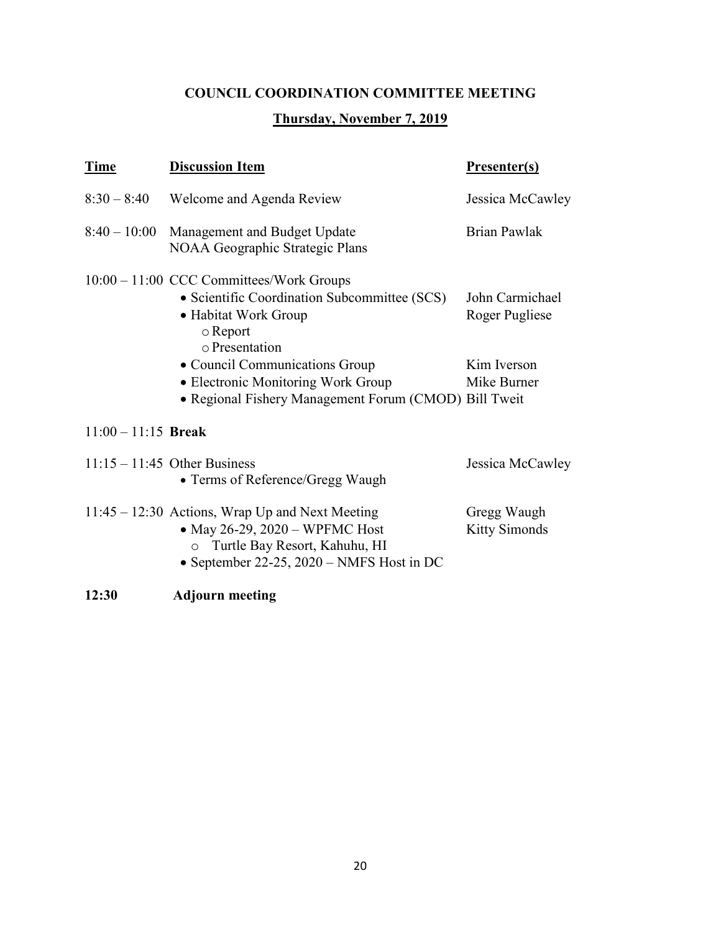# **COUNCIL COORDINATION COMMITTEE MEETING**

# **Thursday, November 7, 2019**

| <b>Time</b>           | <b>Discussion Item</b>                                                                                                                                                     | <b>Presenter(s)</b>                 |
|-----------------------|----------------------------------------------------------------------------------------------------------------------------------------------------------------------------|-------------------------------------|
| $8:30 - 8:40$         | Welcome and Agenda Review                                                                                                                                                  | Jessica McCawley                    |
| $8:40 - 10:00$        | Management and Budget Update<br>NOAA Geographic Strategic Plans                                                                                                            | <b>Brian Pawlak</b>                 |
|                       | 10:00 – 11:00 CCC Committees/Work Groups<br>• Scientific Coordination Subcommittee (SCS)<br>• Habitat Work Group<br>$\circ$ Report<br>o Presentation                       | John Carmichael<br>Roger Pugliese   |
|                       | • Council Communications Group<br>• Electronic Monitoring Work Group<br>· Regional Fishery Management Forum (CMOD) Bill Tweit                                              | Kim Iverson<br>Mike Burner          |
| $11:00 - 11:15$ Break |                                                                                                                                                                            |                                     |
|                       | $11:15 - 11:45$ Other Business<br>• Terms of Reference/Gregg Waugh                                                                                                         | Jessica McCawley                    |
|                       | 11:45 – 12:30 Actions, Wrap Up and Next Meeting<br>• May 26-29, 2020 – WPFMC Host<br>Turtle Bay Resort, Kahuhu, HI<br>$\circ$<br>• September 22-25, 2020 – NMFS Host in DC | Gregg Waugh<br><b>Kitty Simonds</b> |
| 12:30                 | <b>Adjourn meeting</b>                                                                                                                                                     |                                     |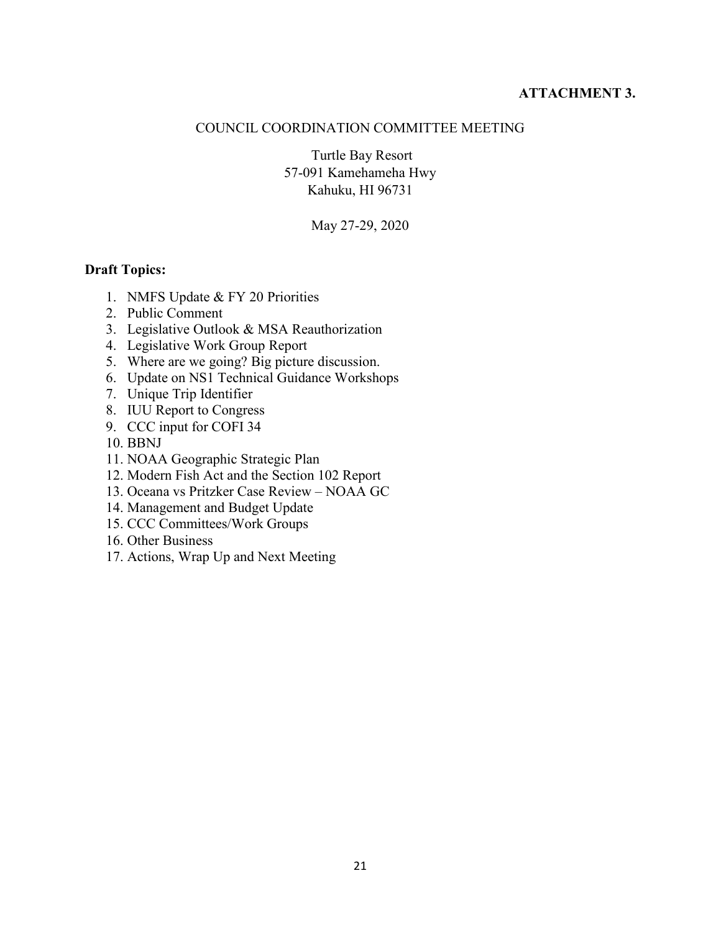#### **ATTACHMENT 3.**

#### COUNCIL COORDINATION COMMITTEE MEETING

Turtle Bay Resort 57-091 Kamehameha Hwy Kahuku, HI 96731

May 27-29, 2020

#### **Draft Topics:**

- 1. NMFS Update & FY 20 Priorities
- 2. Public Comment
- 3. Legislative Outlook & MSA Reauthorization
- 4. Legislative Work Group Report
- 5. Where are we going? Big picture discussion.
- 6. Update on NS1 Technical Guidance Workshops
- 7. Unique Trip Identifier
- 8. IUU Report to Congress
- 9. CCC input for COFI 34
- 10. BBNJ
- 11. NOAA Geographic Strategic Plan
- 12. Modern Fish Act and the Section 102 Report
- 13. Oceana vs Pritzker Case Review NOAA GC
- 14. Management and Budget Update
- 15. CCC Committees/Work Groups
- 16. Other Business
- 17. Actions, Wrap Up and Next Meeting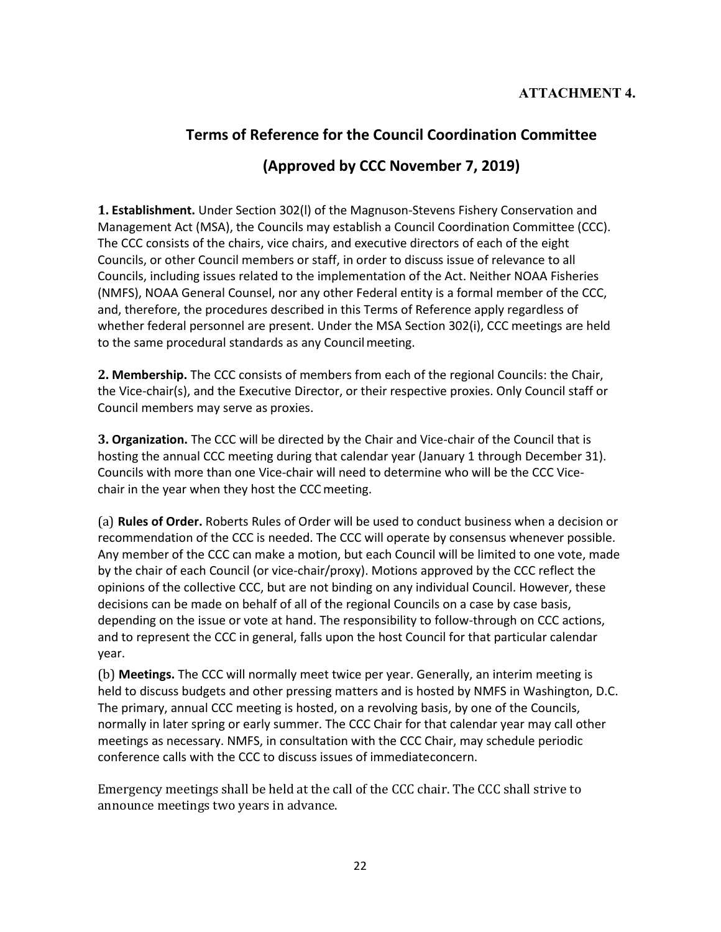# **Terms of Reference for the Council Coordination Committee (Approved by CCC November 7, 2019)**

#### **1. Establishment.** Under Section 302(l) of the Magnuson-Stevens Fishery Conservation and Management Act (MSA), the Councils may establish a Council Coordination Committee (CCC). The CCC consists of the chairs, vice chairs, and executive directors of each of the eight Councils, or other Council members or staff, in order to discuss issue of relevance to all Councils, including issues related to the implementation of the Act. Neither NOAA Fisheries (NMFS), NOAA General Counsel, nor any other Federal entity is a formal member of the CCC, and, therefore, the procedures described in this Terms of Reference apply regardless of whether federal personnel are present. Under the MSA Section 302(i), CCC meetings are held to the same procedural standards as any Council meeting.

**2. Membership.** The CCC consists of members from each of the regional Councils: the Chair, the Vice-chair(s), and the Executive Director, or their respective proxies. Only Council staff or Council members may serve as proxies.

**3. Organization.** The CCC will be directed by the Chair and Vice-chair of the Council that is hosting the annual CCC meeting during that calendar year (January 1 through December 31). Councils with more than one Vice-chair will need to determine who will be the CCC Vicechair in the year when they host the CCCmeeting.

(a) **Rules of Order.** Roberts Rules of Order will be used to conduct business when a decision or recommendation of the CCC is needed. The CCC will operate by consensus whenever possible. Any member of the CCC can make a motion, but each Council will be limited to one vote, made by the chair of each Council (or vice-chair/proxy). Motions approved by the CCC reflect the opinions of the collective CCC, but are not binding on any individual Council. However, these decisions can be made on behalf of all of the regional Councils on a case by case basis, depending on the issue or vote at hand. The responsibility to follow-through on CCC actions, and to represent the CCC in general, falls upon the host Council for that particular calendar year.

(b) **Meetings.** The CCC will normally meet twice per year. Generally, an interim meeting is held to discuss budgets and other pressing matters and is hosted by NMFS in Washington, D.C. The primary, annual CCC meeting is hosted, on a revolving basis, by one of the Councils, normally in later spring or early summer. The CCC Chair for that calendar year may call other meetings as necessary. NMFS, in consultation with the CCC Chair, may schedule periodic conference calls with the CCC to discuss issues of immediateconcern.

Emergency meetings shall be held at the call of the CCC chair. The CCC shall strive to announce meetings two years in advance.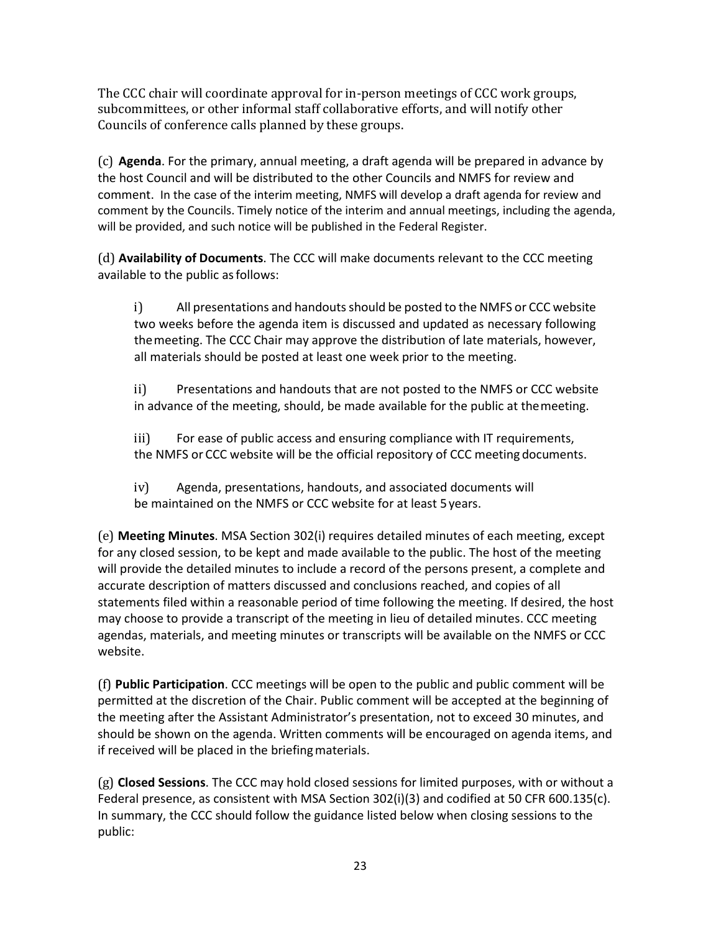The CCC chair will coordinate approval for in-person meetings of CCC work groups, subcommittees, or other informal staff collaborative efforts, and will notify other Councils of conference calls planned by these groups.

(c) **Agenda**. For the primary, annual meeting, a draft agenda will be prepared in advance by the host Council and will be distributed to the other Councils and NMFS for review and comment. In the case of the interim meeting, NMFS will develop a draft agenda for review and comment by the Councils. Timely notice of the interim and annual meetings, including the agenda, will be provided, and such notice will be published in the Federal Register.

(d) **Availability of Documents**. The CCC will make documents relevant to the CCC meeting available to the public asfollows:

i) All presentations and handouts should be posted to the NMFS or CCC website two weeks before the agenda item is discussed and updated as necessary following themeeting. The CCC Chair may approve the distribution of late materials, however, all materials should be posted at least one week prior to the meeting.

ii) Presentations and handouts that are not posted to the NMFS or CCC website in advance of the meeting, should, be made available for the public at themeeting.

iii) For ease of public access and ensuring compliance with IT requirements, the NMFS or CCC website will be the official repository of CCC meeting documents.

iv) Agenda, presentations, handouts, and associated documents will be maintained on the NMFS or CCC website for at least 5years.

(e) **Meeting Minutes**. MSA Section 302(i) requires detailed minutes of each meeting, except for any closed session, to be kept and made available to the public. The host of the meeting will provide the detailed minutes to include a record of the persons present, a complete and accurate description of matters discussed and conclusions reached, and copies of all statements filed within a reasonable period of time following the meeting. If desired, the host may choose to provide a transcript of the meeting in lieu of detailed minutes. CCC meeting agendas, materials, and meeting minutes or transcripts will be available on the NMFS or CCC website.

(f) **Public Participation**. CCC meetings will be open to the public and public comment will be permitted at the discretion of the Chair. Public comment will be accepted at the beginning of the meeting after the Assistant Administrator's presentation, not to exceed 30 minutes, and should be shown on the agenda. Written comments will be encouraged on agenda items, and if received will be placed in the briefingmaterials.

(g) **Closed Sessions**. The CCC may hold closed sessions for limited purposes, with or without a Federal presence, as consistent with MSA Section 302(i)(3) and codified at 50 CFR 600.135(c). In summary, the CCC should follow the guidance listed below when closing sessions to the public: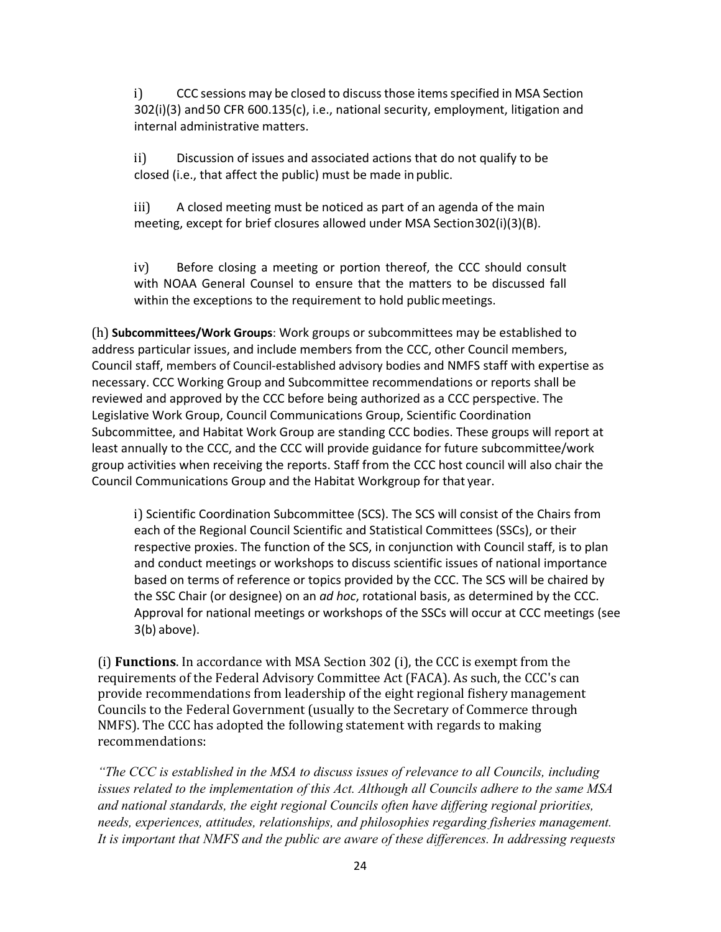i) CCC sessions may be closed to discuss those items specified in MSA Section 302(i)(3) and50 CFR 600.135(c), i.e., national security, employment, litigation and internal administrative matters.

ii) Discussion of issues and associated actions that do not qualify to be closed (i.e., that affect the public) must be made inpublic.

iii) A closed meeting must be noticed as part of an agenda of the main meeting, except for brief closures allowed under MSA Section302(i)(3)(B).

iv) Before closing a meeting or portion thereof, the CCC should consult with NOAA General Counsel to ensure that the matters to be discussed fall within the exceptions to the requirement to hold public meetings.

(h) **Subcommittees/Work Groups**: Work groups or subcommittees may be established to address particular issues, and include members from the CCC, other Council members, Council staff, members of Council-established advisory bodies and NMFS staff with expertise as necessary. CCC Working Group and Subcommittee recommendations or reports shall be reviewed and approved by the CCC before being authorized as a CCC perspective. The Legislative Work Group, Council Communications Group, Scientific Coordination Subcommittee, and Habitat Work Group are standing CCC bodies. These groups will report at least annually to the CCC, and the CCC will provide guidance for future subcommittee/work group activities when receiving the reports. Staff from the CCC host council will also chair the Council Communications Group and the Habitat Workgroup for that year.

i) Scientific Coordination Subcommittee (SCS). The SCS will consist of the Chairs from each of the Regional Council Scientific and Statistical Committees (SSCs), or their respective proxies. The function of the SCS, in conjunction with Council staff, is to plan and conduct meetings or workshops to discuss scientific issues of national importance based on terms of reference or topics provided by the CCC. The SCS will be chaired by the SSC Chair (or designee) on an *ad hoc*, rotational basis, as determined by the CCC. Approval for national meetings or workshops of the SSCs will occur at CCC meetings (see 3(b) above).

(i) **Functions**. In accordance with MSA Section 302 (i), the CCC is exempt from the requirements of the Federal Advisory Committee Act (FACA). As such, the CCC's can provide recommendations from leadership of the eight regional fishery management Councils to the Federal Government (usually to the Secretary of Commerce through NMFS). The CCC has adopted the following statement with regards to making recommendations:

*"The CCC is established in the MSA to discuss issues of relevance to all Councils, including issues related to the implementation of this Act. Although all Councils adhere to the same MSA and national standards, the eight regional Councils often have differing regional priorities, needs, experiences, attitudes, relationships, and philosophies regarding fisheries management. It is important that NMFS and the public are aware of these differences. In addressing requests*